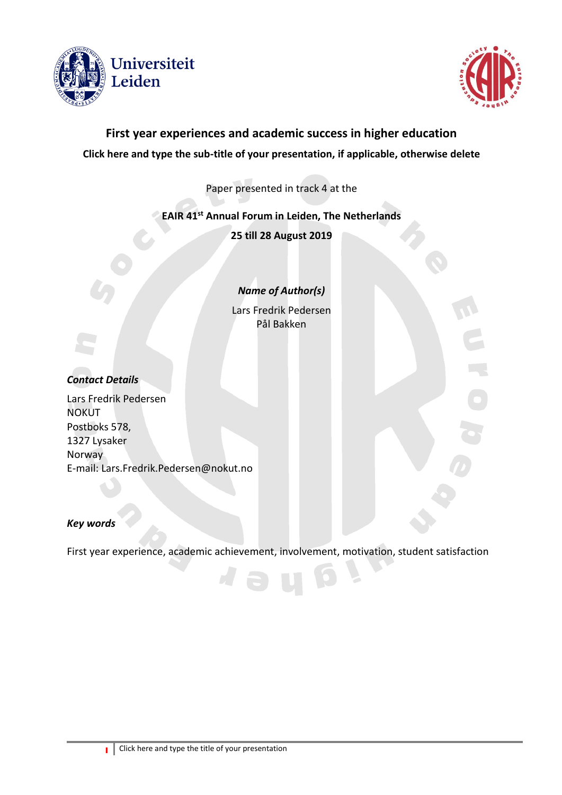



# **First year experiences and academic success in higher education Click here and type the sub-title of your presentation, if applicable, otherwise delete**

Paper presented in track 4 at the

## **EAIR 41 st Annual Forum in Leiden, The Netherlands**

**25 till 28 August 2019**

*Name of Author(s)*

Lars Fredrik Pedersen Pål Bakken

## *Contact Details*

Lars Fredrik Pedersen **NOKUT** Postboks 578, 1327 Lysaker Norway E-mail: Lars.Fredrik.Pedersen@nokut.no

#### *Key words*

First year experience, academic achievement, involvement, motivation, student satisfaction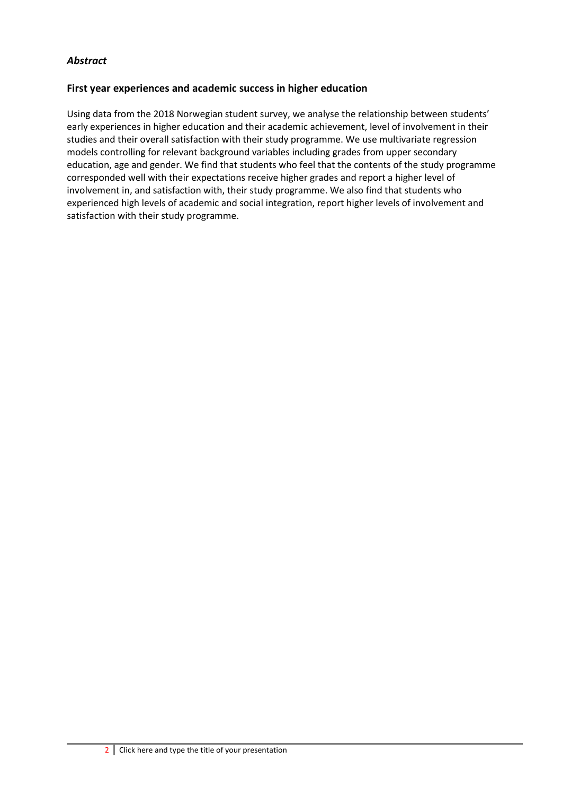## *Abstract*

#### **First year experiences and academic success in higher education**

Using data from the 2018 Norwegian student survey, we analyse the relationship between students' early experiences in higher education and their academic achievement, level of involvement in their studies and their overall satisfaction with their study programme. We use multivariate regression models controlling for relevant background variables including grades from upper secondary education, age and gender. We find that students who feel that the contents of the study programme corresponded well with their expectations receive higher grades and report a higher level of involvement in, and satisfaction with, their study programme. We also find that students who experienced high levels of academic and social integration, report higher levels of involvement and satisfaction with their study programme.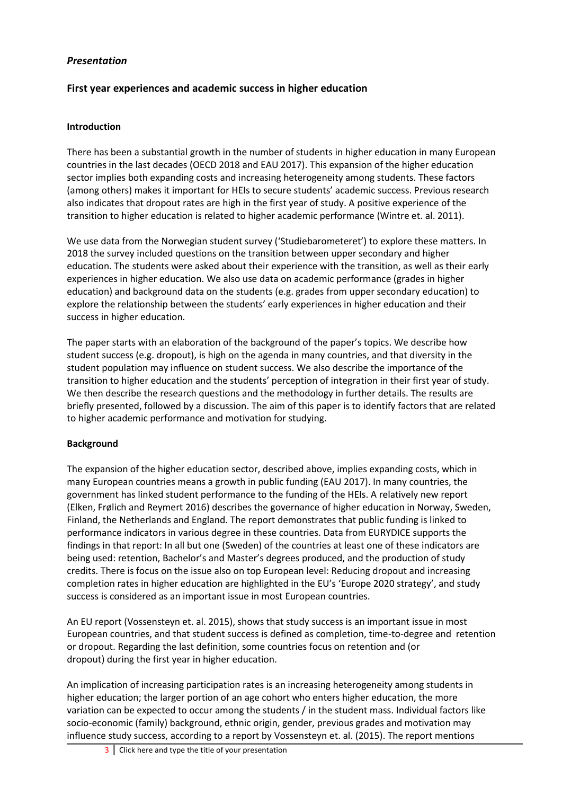## *Presentation*

## **First year experiences and academic success in higher education**

#### **Introduction**

There has been a substantial growth in the number of students in higher education in many European countries in the last decades (OECD 2018 and EAU 2017). This expansion of the higher education sector implies both expanding costs and increasing heterogeneity among students. These factors (among others) makes it important for HEIs to secure students' academic success. Previous research also indicates that dropout rates are high in the first year of study. A positive experience of the transition to higher education is related to higher academic performance (Wintre et. al. 2011).

We use data from the Norwegian student survey ('Studiebarometeret') to explore these matters. In 2018 the survey included questions on the transition between upper secondary and higher education. The students were asked about their experience with the transition, as well as their early experiences in higher education. We also use data on academic performance (grades in higher education) and background data on the students (e.g. grades from upper secondary education) to explore the relationship between the students' early experiences in higher education and their success in higher education.

The paper starts with an elaboration of the background of the paper's topics. We describe how student success (e.g. dropout), is high on the agenda in many countries, and that diversity in the student population may influence on student success. We also describe the importance of the transition to higher education and the students' perception of integration in their first year of study. We then describe the research questions and the methodology in further details. The results are briefly presented, followed by a discussion. The aim of this paper is to identify factors that are related to higher academic performance and motivation for studying.

#### **Background**

The expansion of the higher education sector, described above, implies expanding costs, which in many European countries means a growth in public funding (EAU 2017). In many countries, the government has linked student performance to the funding of the HEIs. A relatively new report (Elken, Frølich and Reymert 2016) describes the governance of higher education in Norway, Sweden, Finland, the Netherlands and England. The report demonstrates that public funding is linked to performance indicators in various degree in these countries. Data from EURYDICE supports the findings in that report: In all but one (Sweden) of the countries at least one of these indicators are being used: retention, Bachelor's and Master's degrees produced, and the production of study credits. There is focus on the issue also on top European level: Reducing dropout and increasing completion rates in higher education are highlighted in the EU's 'Europe 2020 strategy', and study success is considered as an important issue in most European countries.

An EU report (Vossensteyn et. al. 2015), shows that study success is an important issue in most European countries, and that student success is defined as completion, time-to-degree and retention or dropout. Regarding the last definition, some countries focus on retention and (or dropout) during the first year in higher education.

An implication of increasing participation rates is an increasing heterogeneity among students in higher education; the larger portion of an age cohort who enters higher education, the more variation can be expected to occur among the students / in the student mass. Individual factors like socio-economic (family) background, ethnic origin, gender, previous grades and motivation may influence study success, according to a report by Vossensteyn et. al. (2015). The report mentions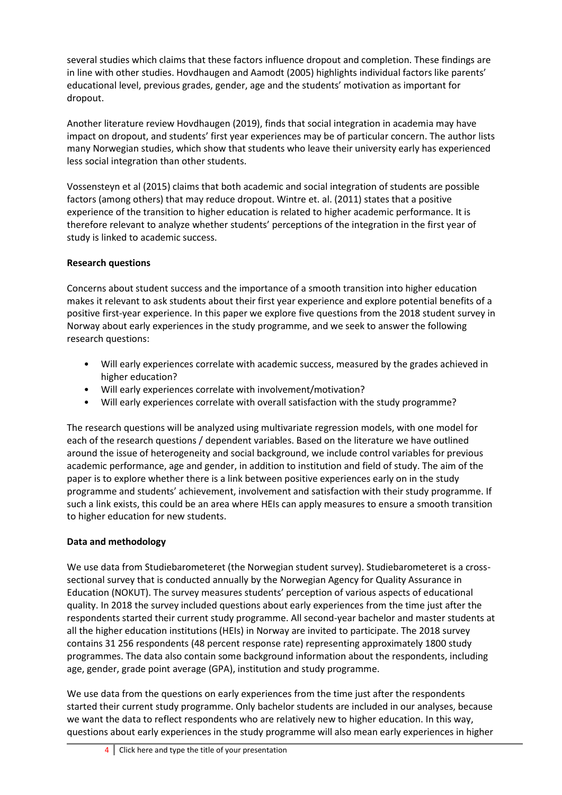several studies which claims that these factors influence dropout and completion. These findings are in line with other studies. Hovdhaugen and Aamodt (2005) highlights individual factors like parents' educational level, previous grades, gender, age and the students' motivation as important for dropout.

Another literature review Hovdhaugen (2019), finds that social integration in academia may have impact on dropout, and students' first year experiences may be of particular concern. The author lists many Norwegian studies, which show that students who leave their university early has experienced less social integration than other students.

Vossensteyn et al (2015) claims that both academic and social integration of students are possible factors (among others) that may reduce dropout. Wintre et. al. (2011) states that a positive experience of the transition to higher education is related to higher academic performance. It is therefore relevant to analyze whether students' perceptions of the integration in the first year of study is linked to academic success.

## **Research questions**

Concerns about student success and the importance of a smooth transition into higher education makes it relevant to ask students about their first year experience and explore potential benefits of a positive first-year experience. In this paper we explore five questions from the 2018 student survey in Norway about early experiences in the study programme, and we seek to answer the following research questions:

- Will early experiences correlate with academic success, measured by the grades achieved in higher education?
- Will early experiences correlate with involvement/motivation?
- Will early experiences correlate with overall satisfaction with the study programme?

The research questions will be analyzed using multivariate regression models, with one model for each of the research questions / dependent variables. Based on the literature we have outlined around the issue of heterogeneity and social background, we include control variables for previous academic performance, age and gender, in addition to institution and field of study. The aim of the paper is to explore whether there is a link between positive experiences early on in the study programme and students' achievement, involvement and satisfaction with their study programme. If such a link exists, this could be an area where HEIs can apply measures to ensure a smooth transition to higher education for new students.

## **Data and methodology**

We use data from Studiebarometeret (the Norwegian student survey). Studiebarometeret is a crosssectional survey that is conducted annually by the Norwegian Agency for Quality Assurance in Education (NOKUT). The survey measures students' perception of various aspects of educational quality. In 2018 the survey included questions about early experiences from the time just after the respondents started their current study programme. All second-year bachelor and master students at all the higher education institutions (HEIs) in Norway are invited to participate. The 2018 survey contains 31 256 respondents (48 percent response rate) representing approximately 1800 study programmes. The data also contain some background information about the respondents, including age, gender, grade point average (GPA), institution and study programme.

We use data from the questions on early experiences from the time just after the respondents started their current study programme. Only bachelor students are included in our analyses, because we want the data to reflect respondents who are relatively new to higher education. In this way, questions about early experiences in the study programme will also mean early experiences in higher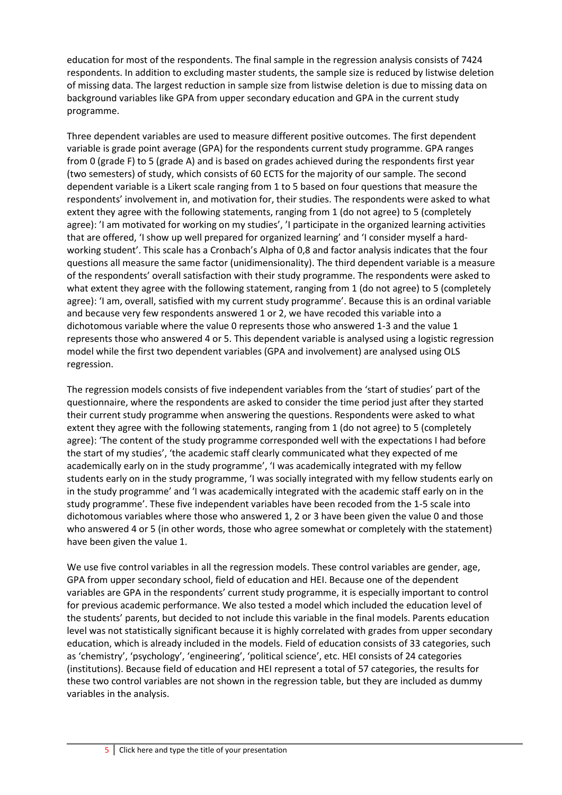education for most of the respondents. The final sample in the regression analysis consists of 7424 respondents. In addition to excluding master students, the sample size is reduced by listwise deletion of missing data. The largest reduction in sample size from listwise deletion is due to missing data on background variables like GPA from upper secondary education and GPA in the current study programme.

Three dependent variables are used to measure different positive outcomes. The first dependent variable is grade point average (GPA) for the respondents current study programme. GPA ranges from 0 (grade F) to 5 (grade A) and is based on grades achieved during the respondents first year (two semesters) of study, which consists of 60 ECTS for the majority of our sample. The second dependent variable is a Likert scale ranging from 1 to 5 based on four questions that measure the respondents' involvement in, and motivation for, their studies. The respondents were asked to what extent they agree with the following statements, ranging from 1 (do not agree) to 5 (completely agree): 'I am motivated for working on my studies', 'I participate in the organized learning activities that are offered, 'I show up well prepared for organized learning' and 'I consider myself a hardworking student'. This scale has a Cronbach's Alpha of 0,8 and factor analysis indicates that the four questions all measure the same factor (unidimensionality). The third dependent variable is a measure of the respondents' overall satisfaction with their study programme. The respondents were asked to what extent they agree with the following statement, ranging from 1 (do not agree) to 5 (completely agree): 'I am, overall, satisfied with my current study programme'. Because this is an ordinal variable and because very few respondents answered 1 or 2, we have recoded this variable into a dichotomous variable where the value 0 represents those who answered 1-3 and the value 1 represents those who answered 4 or 5. This dependent variable is analysed using a logistic regression model while the first two dependent variables (GPA and involvement) are analysed using OLS regression.

The regression models consists of five independent variables from the 'start of studies' part of the questionnaire, where the respondents are asked to consider the time period just after they started their current study programme when answering the questions. Respondents were asked to what extent they agree with the following statements, ranging from 1 (do not agree) to 5 (completely agree): 'The content of the study programme corresponded well with the expectations I had before the start of my studies', 'the academic staff clearly communicated what they expected of me academically early on in the study programme', 'I was academically integrated with my fellow students early on in the study programme, 'I was socially integrated with my fellow students early on in the study programme' and 'I was academically integrated with the academic staff early on in the study programme'. These five independent variables have been recoded from the 1-5 scale into dichotomous variables where those who answered 1, 2 or 3 have been given the value 0 and those who answered 4 or 5 (in other words, those who agree somewhat or completely with the statement) have been given the value 1.

We use five control variables in all the regression models. These control variables are gender, age, GPA from upper secondary school, field of education and HEI. Because one of the dependent variables are GPA in the respondents' current study programme, it is especially important to control for previous academic performance. We also tested a model which included the education level of the students' parents, but decided to not include this variable in the final models. Parents education level was not statistically significant because it is highly correlated with grades from upper secondary education, which is already included in the models. Field of education consists of 33 categories, such as 'chemistry', 'psychology', 'engineering', 'political science', etc. HEI consists of 24 categories (institutions). Because field of education and HEI represent a total of 57 categories, the results for these two control variables are not shown in the regression table, but they are included as dummy variables in the analysis.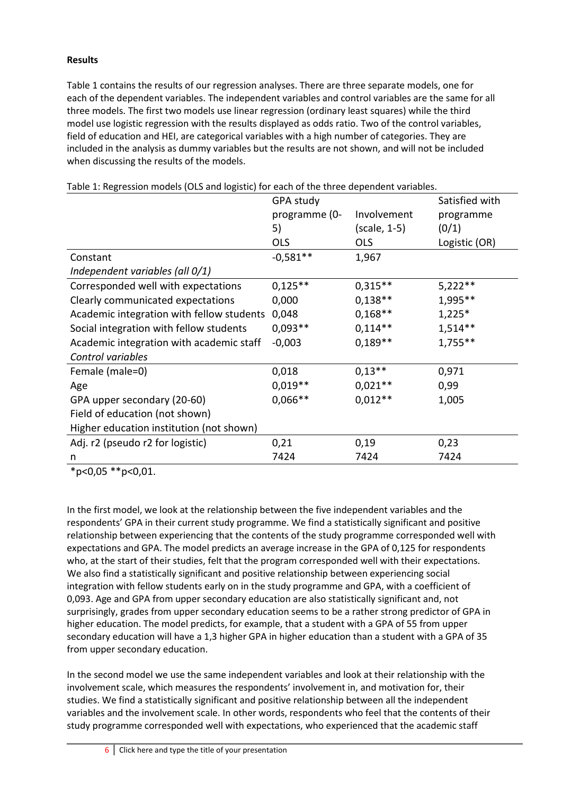#### **Results**

Table 1 contains the results of our regression analyses. There are three separate models, one for each of the dependent variables. The independent variables and control variables are the same for all three models. The first two models use linear regression (ordinary least squares) while the third model use logistic regression with the results displayed as odds ratio. Two of the control variables, field of education and HEI, are categorical variables with a high number of categories. They are included in the analysis as dummy variables but the results are not shown, and will not be included when discussing the results of the models.

|                                           | GPA study     |              | Satisfied with |
|-------------------------------------------|---------------|--------------|----------------|
|                                           | programme (0- | Involvement  | programme      |
|                                           | 5)            | (scale, 1-5) | (0/1)          |
|                                           | <b>OLS</b>    | <b>OLS</b>   | Logistic (OR)  |
| Constant                                  | $-0.581**$    | 1,967        |                |
| Independent variables (all 0/1)           |               |              |                |
| Corresponded well with expectations       | $0,125**$     | $0,315**$    | $5,222**$      |
| Clearly communicated expectations         | 0,000         | $0,138**$    | 1,995**        |
| Academic integration with fellow students | 0,048         | $0,168**$    | $1,225*$       |
| Social integration with fellow students   | $0,093**$     | $0,114**$    | $1,514**$      |
| Academic integration with academic staff  | $-0,003$      | $0,189**$    | $1,755**$      |
| Control variables                         |               |              |                |
| Female (male=0)                           | 0,018         | $0,13**$     | 0,971          |
| Age                                       | $0.019**$     | $0.021**$    | 0,99           |
| GPA upper secondary (20-60)               | $0,066**$     | $0,012**$    | 1,005          |
| Field of education (not shown)            |               |              |                |
| Higher education institution (not shown)  |               |              |                |
| Adj. r2 (pseudo r2 for logistic)          | 0,21          | 0,19         | 0,23           |
| n                                         | 7424          | 7424         | 7424           |

Table 1: Regression models (OLS and logistic) for each of the three dependent variables.

\*p<0,05 \*\*p<0,01.

In the first model, we look at the relationship between the five independent variables and the respondents' GPA in their current study programme. We find a statistically significant and positive relationship between experiencing that the contents of the study programme corresponded well with expectations and GPA. The model predicts an average increase in the GPA of 0,125 for respondents who, at the start of their studies, felt that the program corresponded well with their expectations. We also find a statistically significant and positive relationship between experiencing social integration with fellow students early on in the study programme and GPA, with a coefficient of 0,093. Age and GPA from upper secondary education are also statistically significant and, not surprisingly, grades from upper secondary education seems to be a rather strong predictor of GPA in higher education. The model predicts, for example, that a student with a GPA of 55 from upper secondary education will have a 1,3 higher GPA in higher education than a student with a GPA of 35 from upper secondary education.

In the second model we use the same independent variables and look at their relationship with the involvement scale, which measures the respondents' involvement in, and motivation for, their studies. We find a statistically significant and positive relationship between all the independent variables and the involvement scale. In other words, respondents who feel that the contents of their study programme corresponded well with expectations, who experienced that the academic staff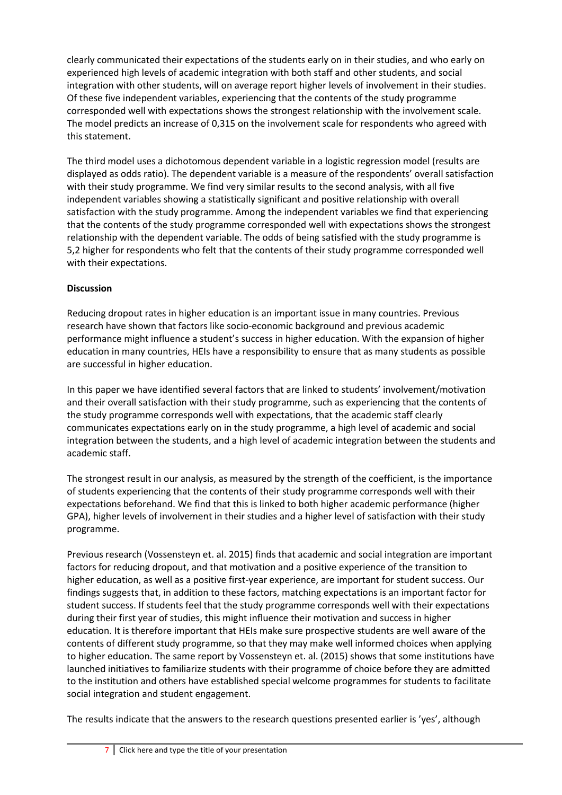clearly communicated their expectations of the students early on in their studies, and who early on experienced high levels of academic integration with both staff and other students, and social integration with other students, will on average report higher levels of involvement in their studies. Of these five independent variables, experiencing that the contents of the study programme corresponded well with expectations shows the strongest relationship with the involvement scale. The model predicts an increase of 0,315 on the involvement scale for respondents who agreed with this statement.

The third model uses a dichotomous dependent variable in a logistic regression model (results are displayed as odds ratio). The dependent variable is a measure of the respondents' overall satisfaction with their study programme. We find very similar results to the second analysis, with all five independent variables showing a statistically significant and positive relationship with overall satisfaction with the study programme. Among the independent variables we find that experiencing that the contents of the study programme corresponded well with expectations shows the strongest relationship with the dependent variable. The odds of being satisfied with the study programme is 5,2 higher for respondents who felt that the contents of their study programme corresponded well with their expectations.

#### **Discussion**

Reducing dropout rates in higher education is an important issue in many countries. Previous research have shown that factors like socio-economic background and previous academic performance might influence a student's success in higher education. With the expansion of higher education in many countries, HEIs have a responsibility to ensure that as many students as possible are successful in higher education.

In this paper we have identified several factors that are linked to students' involvement/motivation and their overall satisfaction with their study programme, such as experiencing that the contents of the study programme corresponds well with expectations, that the academic staff clearly communicates expectations early on in the study programme, a high level of academic and social integration between the students, and a high level of academic integration between the students and academic staff.

The strongest result in our analysis, as measured by the strength of the coefficient, is the importance of students experiencing that the contents of their study programme corresponds well with their expectations beforehand. We find that this is linked to both higher academic performance (higher GPA), higher levels of involvement in their studies and a higher level of satisfaction with their study programme.

Previous research (Vossensteyn et. al. 2015) finds that academic and social integration are important factors for reducing dropout, and that motivation and a positive experience of the transition to higher education, as well as a positive first-year experience, are important for student success. Our findings suggests that, in addition to these factors, matching expectations is an important factor for student success. If students feel that the study programme corresponds well with their expectations during their first year of studies, this might influence their motivation and success in higher education. It is therefore important that HEIs make sure prospective students are well aware of the contents of different study programme, so that they may make well informed choices when applying to higher education. The same report by Vossensteyn et. al. (2015) shows that some institutions have launched initiatives to familiarize students with their programme of choice before they are admitted to the institution and others have established special welcome programmes for students to facilitate social integration and student engagement.

The results indicate that the answers to the research questions presented earlier is 'yes', although